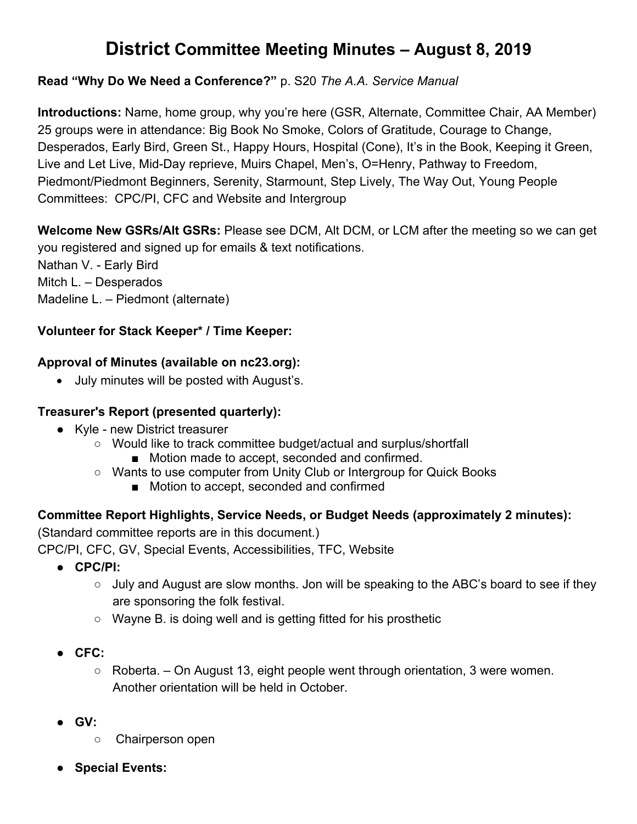# **District Committee Meeting Minutes – August 8, 2019**

## **Read "Why Do We Need a Conference?"** p. S20 *The A.A. Service Manual*

**Introductions:** Name, home group, why you're here (GSR, Alternate, Committee Chair, AA Member) 25 groups were in attendance: Big Book No Smoke, Colors of Gratitude, Courage to Change, Desperados, Early Bird, Green St., Happy Hours, Hospital (Cone), It's in the Book, Keeping it Green, Live and Let Live, Mid-Day reprieve, Muirs Chapel, Men's, O=Henry, Pathway to Freedom, Piedmont/Piedmont Beginners, Serenity, Starmount, Step Lively, The Way Out, Young People Committees: CPC/PI, CFC and Website and Intergroup

**Welcome New GSRs/Alt GSRs:** Please see DCM, Alt DCM, or LCM after the meeting so we can get you registered and signed up for emails & text notifications. Nathan V. - Early Bird Mitch L. – Desperados Madeline L. – Piedmont (alternate)

#### **Volunteer for Stack Keeper\* / Time Keeper:**

#### **Approval of Minutes (available on nc23.org):**

• July minutes will be posted with August's.

## **Treasurer's Report (presented quarterly):**

- Kyle new District treasurer
	- Would like to track committee budget/actual and surplus/shortfall
		- Motion made to accept, seconded and confirmed.
	- Wants to use computer from Unity Club or Intergroup for Quick Books
		- Motion to accept, seconded and confirmed

# **Committee Report Highlights, Service Needs, or Budget Needs (approximately 2 minutes):**

(Standard committee reports are in this document.)

CPC/PI, CFC, GV, Special Events, Accessibilities, TFC, Website

- **CPC/PI:**
	- July and August are slow months. Jon will be speaking to the ABC's board to see if they are sponsoring the folk festival.
	- Wayne B. is doing well and is getting fitted for his prosthetic
- **CFC:**
	- $\circ$  Roberta. On August 13, eight people went through orientation, 3 were women. Another orientation will be held in October.
- **GV:**
	- Chairperson open
- **Special Events:**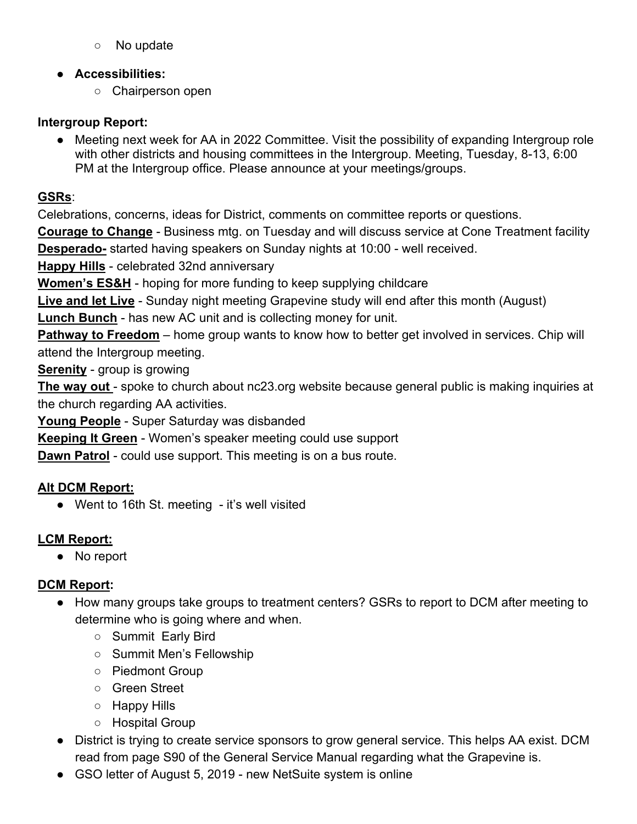○ No update

# ● **Accessibilities:**

○ Chairperson open

## **Intergroup Report:**

● Meeting next week for AA in 2022 Committee. Visit the possibility of expanding Intergroup role with other districts and housing committees in the Intergroup. Meeting, Tuesday, 8-13, 6:00 PM at the Intergroup office. Please announce at your meetings/groups.

# **GSRs**:

Celebrations, concerns, ideas for District, comments on committee reports or questions.

**Courage to Change** - Business mtg. on Tuesday and will discuss service at Cone Treatment facility **Desperado-** started having speakers on Sunday nights at 10:00 - well received.

**Happy Hills** - celebrated 32nd anniversary

**Women's ES&H** - hoping for more funding to keep supplying childcare

**Live and let Live** - Sunday night meeting Grapevine study will end after this month (August) **Lunch Bunch** - has new AC unit and is collecting money for unit.

**Pathway to Freedom** – home group wants to know how to better get involved in services. Chip will attend the Intergroup meeting.

**Serenity** - group is growing

**The way out** - spoke to church about nc23.org website because general public is making inquiries at the church regarding AA activities.

**Young People** - Super Saturday was disbanded

**Keeping It Green** - Women's speaker meeting could use support

**Dawn Patrol** - could use support. This meeting is on a bus route.

# **Alt DCM Report:**

● Went to 16th St. meeting - it's well visited

# **LCM Report:**

● No report

# **DCM Report:**

- How many groups take groups to treatment centers? GSRs to report to DCM after meeting to determine who is going where and when.
	- Summit Early Bird
	- Summit Men's Fellowship
	- Piedmont Group
	- Green Street
	- Happy Hills
	- Hospital Group
- District is trying to create service sponsors to grow general service. This helps AA exist. DCM read from page S90 of the General Service Manual regarding what the Grapevine is.
- GSO letter of August 5, 2019 new NetSuite system is online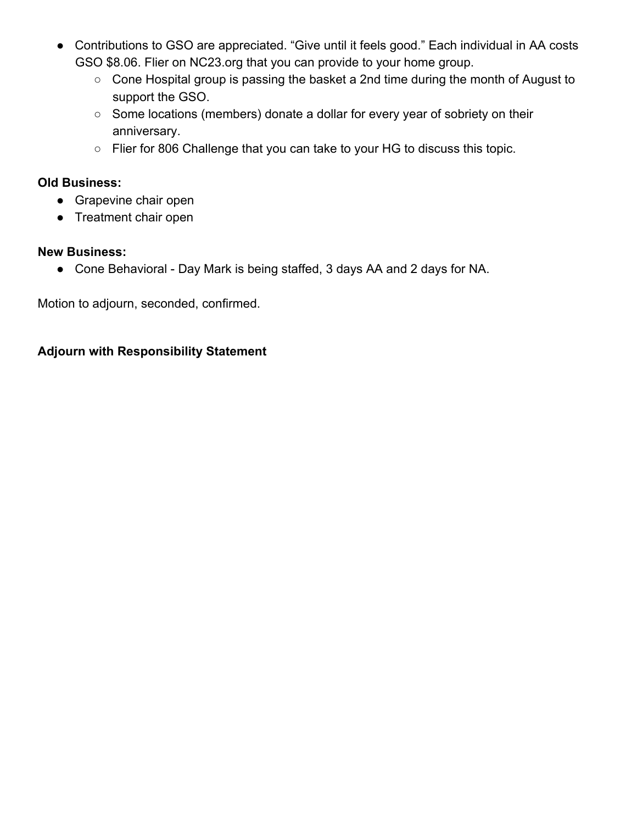- Contributions to GSO are appreciated. "Give until it feels good." Each individual in AA costs GSO \$8.06. Flier on NC23.org that you can provide to your home group.
	- Cone Hospital group is passing the basket a 2nd time during the month of August to support the GSO.
	- Some locations (members) donate a dollar for every year of sobriety on their anniversary.
	- Flier for 806 Challenge that you can take to your HG to discuss this topic.

#### **Old Business:**

- Grapevine chair open
- Treatment chair open

#### **New Business:**

● Cone Behavioral - Day Mark is being staffed, 3 days AA and 2 days for NA.

Motion to adjourn, seconded, confirmed.

## **Adjourn with Responsibility Statement**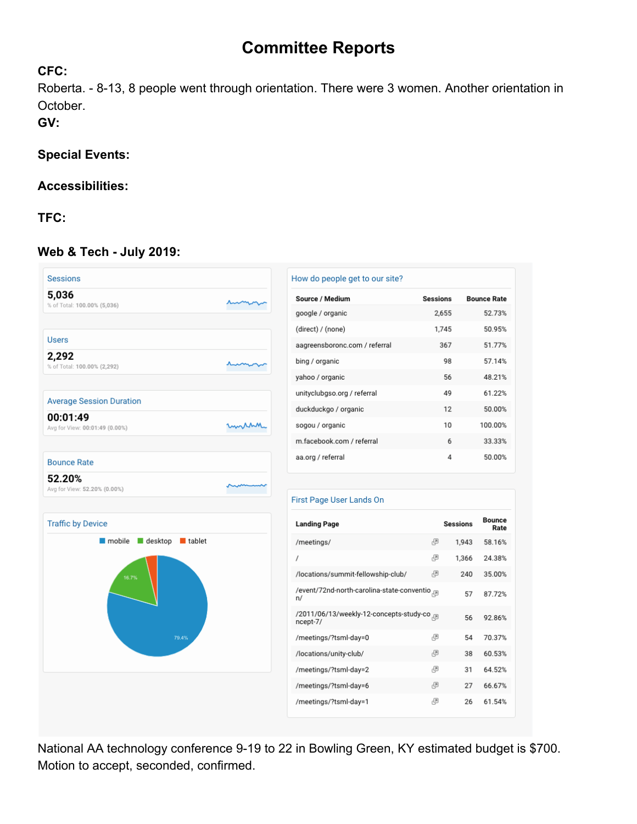# **Committee Reports**

#### **CFC:**

Roberta. - 8-13, 8 people went through orientation. There were 3 women. Another orientation in October.

**GV:**

#### **Special Events:**

#### **Accessibilities:**

**TFC:**

## **Web & Tech - July 2019:**



National AA technology conference 9-19 to 22 in Bowling Green, KY estimated budget is \$700. Motion to accept, seconded, confirmed.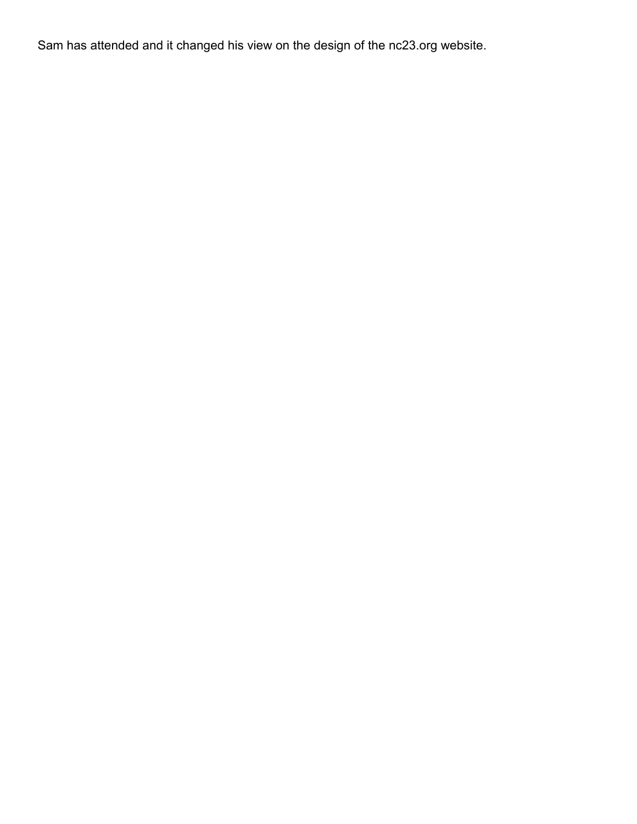Sam has attended and it changed his view on the design of the nc23.org website.